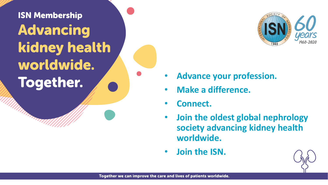## **ISN Membership Advancing** kidney health worldwide. **Together.**



- **Advance your profession.**
- **Make a difference.**
- **Connect.**
- **Join the oldest global nephrology society advancing kidney health worldwide.**
- **Join the ISN.**

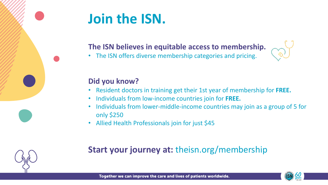

## **Join the ISN.**

#### **The ISN believes in equitable access to membership.**

• The ISN offers diverse membership categories and pricing.

#### **Did you know?**

- Resident doctors in training get their 1st year of membership for **FREE.**
- Individuals from low-income countries join for **FREE.**
- Individuals from lower-middle-income countries may join as a group of 5 for only \$250
- Allied Health Professionals join for just \$45

### **Start your journey at:** theisn.org/membership

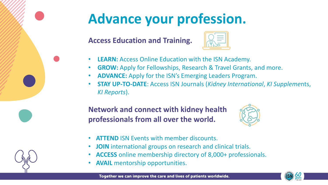

# **Advance your profession.**

**Access Education and Training.**

- **LEARN:** Access Online Education with the ISN Academy.
- **GROW:** Apply for Fellowships, Research & Travel Grants, and more.
- **ADVANCE:** Apply for the ISN's Emerging Leaders Program.
- **STAY UP-TO-DATE**: Access ISN Journals (*Kidney International*, *KI Suppleme*nts, *KI Reports*).

### **Network and connect with kidney health professionals from all over the world.**



- **ATTEND** ISN Events with member discounts.
- **JOIN** international groups on research and clinical trials.
- **ACCESS** online membership directory of 8,000+ professionals.
- **AVAIL** mentorship opportunities.



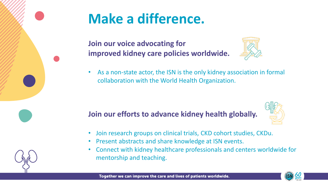

# **Make a difference.**

**Join our voice advocating for improved kidney care policies worldwide.**



• As a non-state actor, the ISN is the only kidney association in formal collaboration with the World Health Organization.

#### **Join our efforts to advance kidney health globally.**



- Join research groups on clinical trials, CKD cohort studies, CKDu.
- Present abstracts and share knowledge at ISN events.
- Connect with kidney healthcare professionals and centers worldwide for mentorship and teaching.



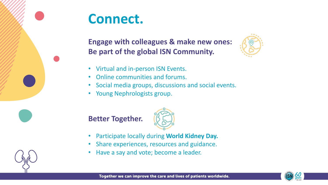



#### **Engage with colleagues & make new ones: Be part of the global ISN Community.**



- Virtual and in-person ISN Events.
- Online communities and forums.
- Social media groups, discussions and social events.
- Young Nephrologists group.





- Participate locally during **World Kidney Day.**
- Share experiences, resources and guidance.
- Have a say and vote; become a leader.

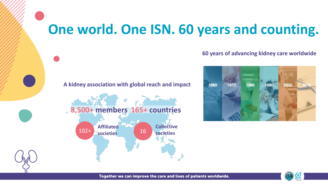### **One world. One ISN. 60 years and counting.**





#### **60 years of advancing kidney care worldwide**





Together we can improve the care and lives of patients worldwide.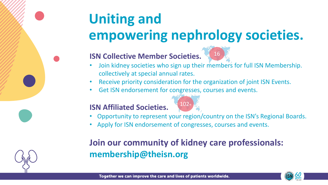# **Uniting and empowering nephrology societies.**

#### **ISN Collective Member Societies.**



- Join kidney societies who sign up their members for full ISN Membership. collectively at special annual rates.
- Receive priority consideration for the organization of joint ISN Events.
- Get ISN endorsement for congresses, courses and events.

#### **ISN Affiliated Societies.**



- Opportunity to represent your region/country on the ISN's Regional Boards.
- Apply for ISN endorsement of congresses, courses and events.

### **Join our community of kidney care professionals: membership@theisn.org**